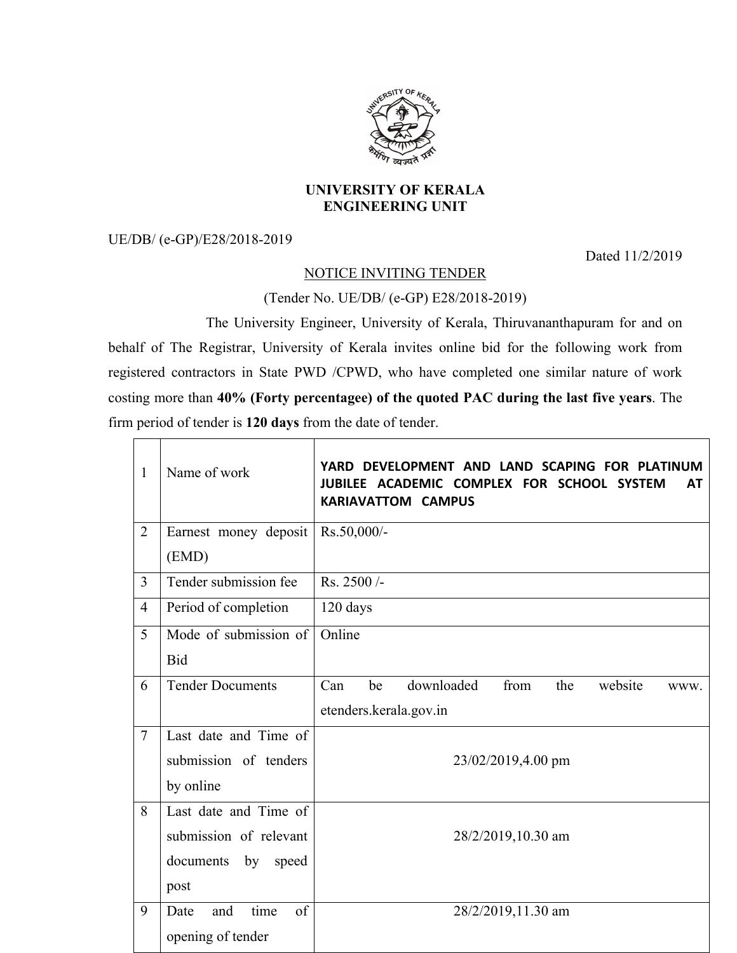

## **UNIVERSITY OF KERALA ENGINEERING UNIT**

UE/DB/ (e-GP)/E28/2018-2019

 $\overline{\Gamma}$  $\overline{\phantom{a}}$  Dated 11/2/2019

## NOTICE INVITING TENDER

## (Tender No. UE/DB/ (e-GP) E28/2018-2019)

The University Engineer, University of Kerala, Thiruvananthapuram for and on behalf of The Registrar, University of Kerala invites online bid for the following work from registered contractors in State PWD /CPWD, who have completed one similar nature of work costing more than **40% (Forty percentagee) of the quoted PAC during the last five years**. The firm period of tender is **120 days** from the date of tender.

| $\mathbf{1}$   | Name of work              | DEVELOPMENT AND LAND SCAPING FOR PLATINUM<br>YARD.<br>JUBILEE ACADEMIC COMPLEX FOR SCHOOL SYSTEM<br>AT<br><b>KARIAVATTOM CAMPUS</b> |  |
|----------------|---------------------------|-------------------------------------------------------------------------------------------------------------------------------------|--|
| $\overline{2}$ | Earnest money deposit     | Rs.50,000/-                                                                                                                         |  |
|                | (EMD)                     |                                                                                                                                     |  |
| 3              | Tender submission fee     | Rs. 2500/-                                                                                                                          |  |
| $\overline{4}$ | Period of completion      | 120 days                                                                                                                            |  |
| 5              | Mode of submission of     | Online                                                                                                                              |  |
|                | <b>Bid</b>                |                                                                                                                                     |  |
| 6              | <b>Tender Documents</b>   | downloaded<br>from<br>Can<br>be<br>the<br>website<br>WWW.                                                                           |  |
|                |                           | etenders.kerala.gov.in                                                                                                              |  |
| $\overline{7}$ | Last date and Time of     |                                                                                                                                     |  |
|                | submission of tenders     | 23/02/2019,4.00 pm                                                                                                                  |  |
|                | by online                 |                                                                                                                                     |  |
| 8              | Last date and Time of     |                                                                                                                                     |  |
|                | submission of relevant    | 28/2/2019,10.30 am                                                                                                                  |  |
|                | documents<br>by<br>speed  |                                                                                                                                     |  |
|                | post                      |                                                                                                                                     |  |
| 9              | time<br>of<br>Date<br>and | 28/2/2019,11.30 am                                                                                                                  |  |
|                | opening of tender         |                                                                                                                                     |  |